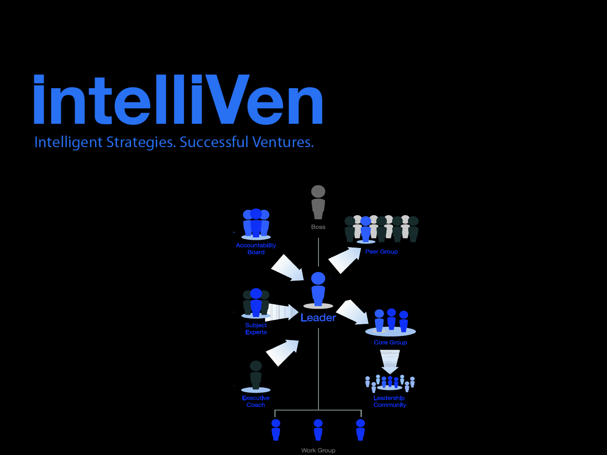

Intelligent Strategies. Successful Ventures.

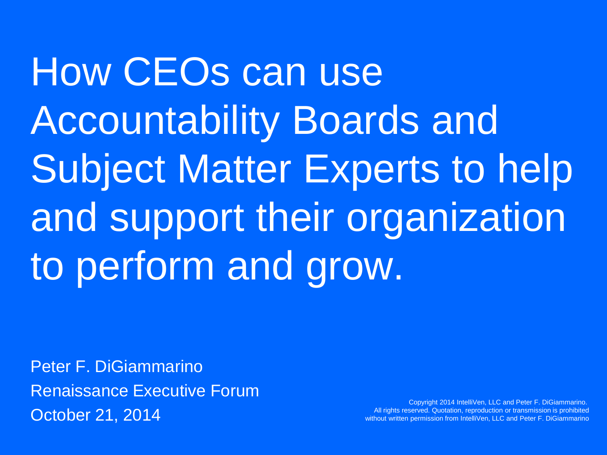How CEOs can use Accountability Boards and Subject Matter Experts to help and support their organization to perform and grow.

Peter F. DiGiammarino Renaissance Executive Forum October 21, 2014

Copyright 2014 IntelliVen, LLC and Peter F. DiGiammarino. All rights reserved. Quotation, reproduction or transmission is prohibited without written permission from IntelliVen, LLC and Peter F. DiGiammarino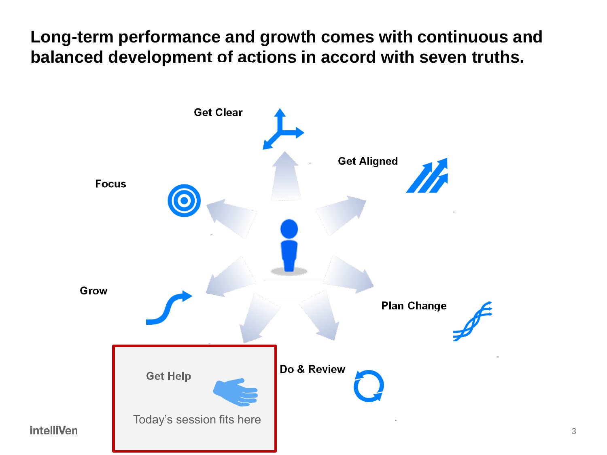**Long-term performance and growth comes with continuous and balanced development of actions in accord with seven truths.**



3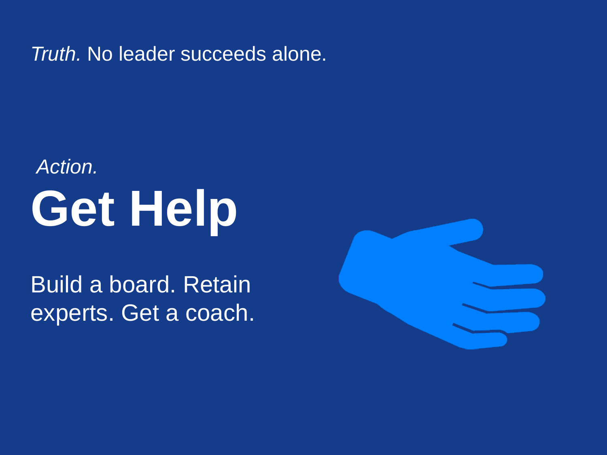*Truth.* No leader succeeds alone.

# **Get Help** *Action.*

Build a board. Retain experts. Get a coach.

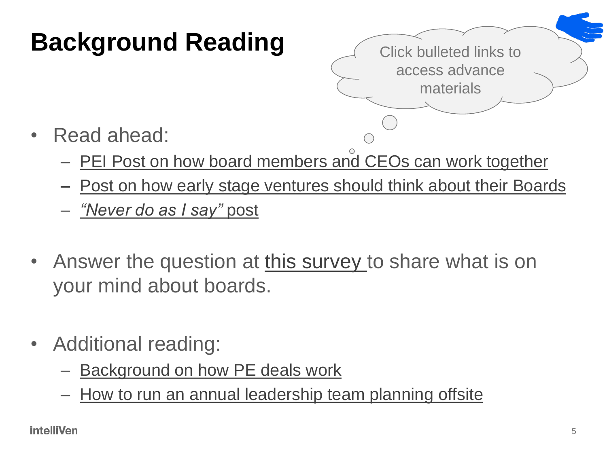# **Background Reading**

Click bulleted links to access advance materials

- Read ahead:
	- [PEI Post on how board members and CEOs can work together](http://www.intelliven.com/how-ceos-and-investors-can-best-work-together-for-higher-odds-of-better-results-sooner/)
	- [Post on how early stage ventures should think about their Boards](http://www.intelliven.com/note-on-boards/)
	- *["Never](http://www.intelliven.com/note-on-doing-what-you-are-told/) [do as I say"](http://www.intelliven.com/note-on-doing-what-you-are-told/)* [post](http://www.intelliven.com/note-on-doing-what-you-are-told/)
- Answer the question at [this survey](https://www.surveymonkey.com/s/7Y8323J) to share what is on your mind about boards.
- Additional reading[:](http://www.intelliven.com/note-on-finance-vs-operations-as-a-career-path-for-top-mba-students/)
	- [Background on how PE deals work](http://www.intelliven.com/note-on-finance-vs-operations-as-a-career-path-for-top-mba-students/)
	- [How to run an annual leadership team planning offsite](http://www.intelliven.com/how-to-run-a-great-annual-leadership-team-strategy-offsite-meeting/)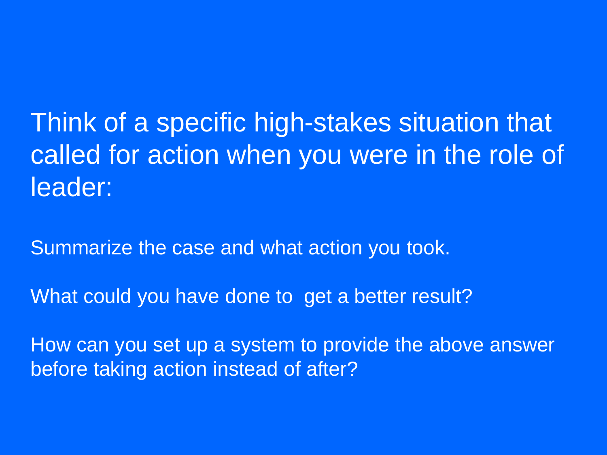Think of a specific high-stakes situation that called for action when you were in the role of leader:

Summarize the case and what action you took.

What could you have done to get a better result?

How can you set up a system to provide the above answer before taking action instead of after?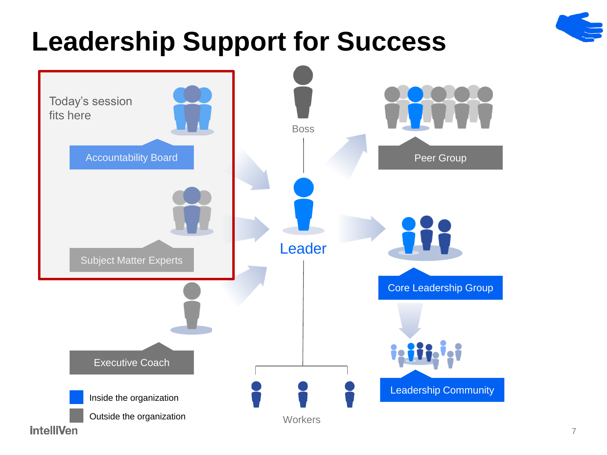

# **Leadership Support for Success**

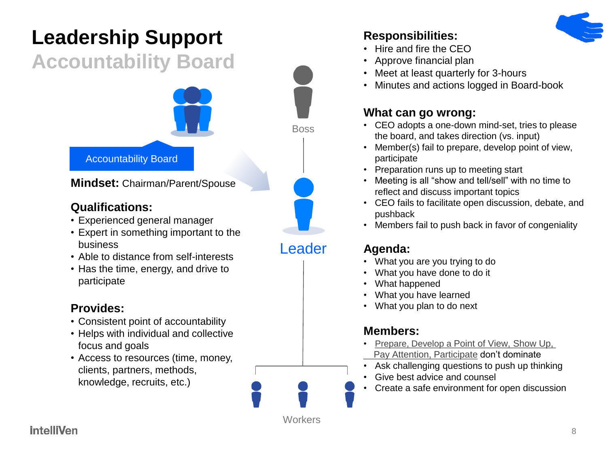### **Leadership Support**

### **Accountability Board**



**Mindset:** Chairman/Parent/Spouse

#### **Qualifications:**

- Experienced general manager
- Expert in something important to the business
- Able to distance from self-interests
- Has the time, energy, and drive to participate

#### **Provides:**

- Consistent point of accountability
- Helps with individual and collective focus and goals
- Access to resources (time, money, clients, partners, methods, knowledge, recruits, etc.)





Leader

#### **Responsibilities:**

- Hire and fire the CEO
- Approve financial plan
- Meet at least quarterly for 3-hours
- Minutes and actions logged in Board-book

#### **What can go wrong:**

- CEO adopts a one-down mind-set, tries to please the board, and takes direction (vs. input)
- Member(s) fail to prepare, develop point of view, participate
- Preparation runs up to meeting start
- Meeting is all "show and tell/sell" with no time to reflect and discuss important topics
- CEO fails to facilitate open discussion, debate, and pushback
- Members fail to push back in favor of congeniality

#### **Agenda:**

- What you are you trying to do
- What you have done to do it
- What happened
- What you have learned
- What you plan to do next

### **Members:**

- [Prepare, Develop a](http://www.intelliven.com/five-ps-to-peak-meeting-performance/) [Point of View, Show Up,](http://www.intelliven.com/five-ps-to-peak-meeting-performance/)   [Pay Attention, Participate](http://www.intelliven.com/five-ps-to-peak-meeting-performance/) don't dominate
- Ask challenging questions to push up thinking
- Give best advice and counsel
- Create a safe environment for open discussion

**Workers** 

### **intelliVen**

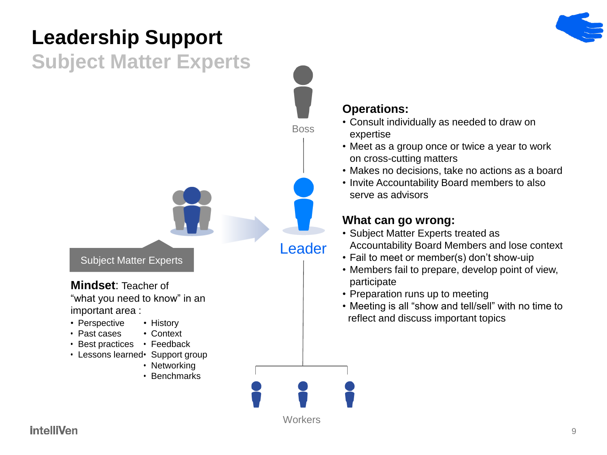### **Leadership Support**

### **Subject Matter Experts**



#### **Operations:**

- Consult individually as needed to draw on expertise
- Meet as a group once or twice a year to work on cross-cutting matters
- Makes no decisions, take no actions as a board
- Invite Accountability Board members to also serve as advisors

#### **What can go wrong:**

- Subject Matter Experts treated as Accountability Board Members and lose context
- Fail to meet or member(s) don't show-uip
- Members fail to prepare, develop point of view, participate
- Preparation runs up to meeting
- Meeting is all "show and tell/sell" with no time to reflect and discuss important topics

### **intelliVen**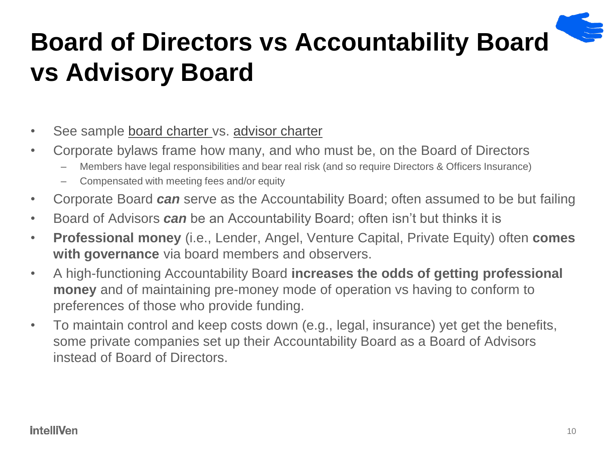# **Board of Directors vs Accountability Board vs Advisory Board**

- See sample [board charter v](http://intelliven.com/intelliven-new/wp-content/uploads/2012/02/Sample-Board-Charter.pdf)s. [advisor charter](http://intelliven.com/intelliven-new/wp-content/uploads/2012/02/Sample-Advisory-Board-Charter.pdf)
- Corporate bylaws frame how many, and who must be, on the Board of Directors
	- Members have legal responsibilities and bear real risk (and so require Directors & Officers Insurance)
	- Compensated with meeting fees and/or equity
- Corporate Board *can* serve as the Accountability Board; often assumed to be but failing
- Board of Advisors *can* be an Accountability Board; often isn't but thinks it is
- **Professional money** (i.e., Lender, Angel, Venture Capital, Private Equity) often **comes with governance** via board members and observers.
- A high-functioning Accountability Board **increases the odds of getting professional money** and of maintaining pre-money mode of operation vs having to conform to preferences of those who provide funding.
- To maintain control and keep costs down (e.g., legal, insurance) yet get the benefits, some private companies set up their Accountability Board as a Board of Advisors instead of Board of Directors.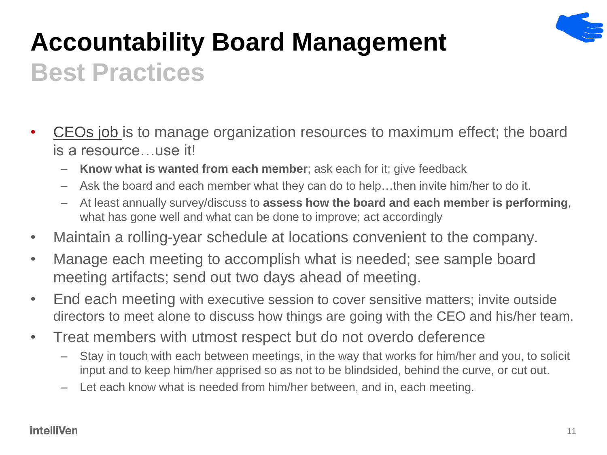

# **Accountability Board Management Best Practices**

- [CEOs job](https://www.inkling.com/read/manage-to-lead-peter-digiammarino-1st/get-aligned/figure-36) is to manage organization resources to maximum effect; the board is a resource…use it!
	- **Know what is wanted from each member**; ask each for it; give feedback
	- Ask the board and each member what they can do to help…then invite him/her to do it.
	- At least annually survey/discuss to **assess how the board and each member is performing**, what has gone well and what can be done to improve; act accordingly
- Maintain a rolling-year schedule at locations convenient to the company.
- Manage each meeting to accomplish what is needed; see sample board meeting artifacts; send out two days ahead of meeting.
- End each meeting with executive session to cover sensitive matters; invite outside directors to meet alone to discuss how things are going with the CEO and his/her team.
- Treat members with utmost respect but do not overdo deference
	- Stay in touch with each between meetings, in the way that works for him/her and you, to solicit input and to keep him/her apprised so as not to be blindsided, behind the curve, or cut out.
	- Let each know what is needed from him/her between, and in, each meeting.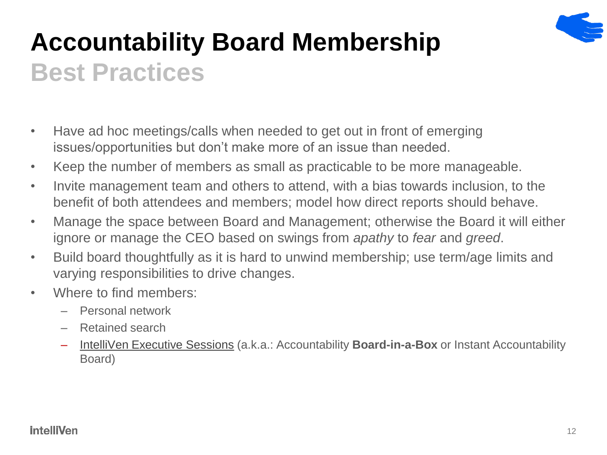

# **Accountability Board Membership Best Practices**

- Have ad hoc meetings/calls when needed to get out in front of emerging issues/opportunities but don't make more of an issue than needed.
- Keep the number of members as small as practicable to be more manageable.
- Invite management team and others to attend, with a bias towards inclusion, to the benefit of both attendees and members; model how direct reports should behave.
- Manage the space between Board and Management; otherwise the Board it will either ignore or manage the CEO based on swings from *apathy* to *fear* and *greed*.
- Build board thoughtfully as it is hard to unwind membership; use term/age limits and varying responsibilities to drive changes.
- Where to find members:
	- Personal network
	- Retained search
	- [IntelliVen Executive Sessions](http://www.intelliven.com/services/executive-sessions/) (a.k.a.: Accountability **Board-in-a-Box** or Instant Accountability Board)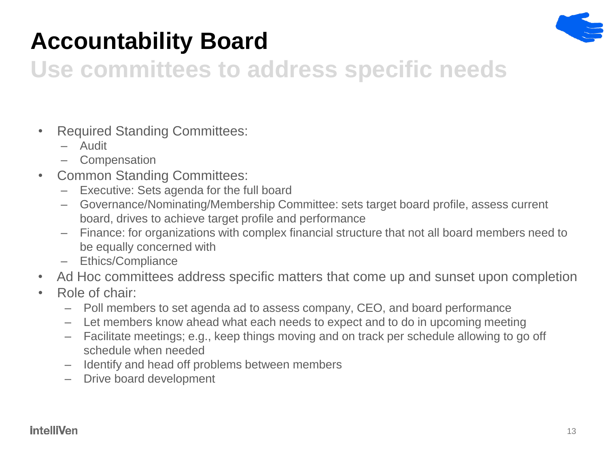

### **Accountability Board**

### **Use committees to address specific needs**

- Required Standing Committees:
	- Audit
	- Compensation
- Common Standing Committees:
	- Executive: Sets agenda for the full board
	- Governance/Nominating/Membership Committee: sets target board profile, assess current board, drives to achieve target profile and performance
	- Finance: for organizations with complex financial structure that not all board members need to be equally concerned with
	- Ethics/Compliance
- Ad Hoc committees address specific matters that come up and sunset upon completion
- Role of chair:
	- Poll members to set agenda ad to assess company, CEO, and board performance
	- Let members know ahead what each needs to expect and to do in upcoming meeting
	- Facilitate meetings; e.g., keep things moving and on track per schedule allowing to go off schedule when needed
	- Identify and head off problems between members
	- Drive board development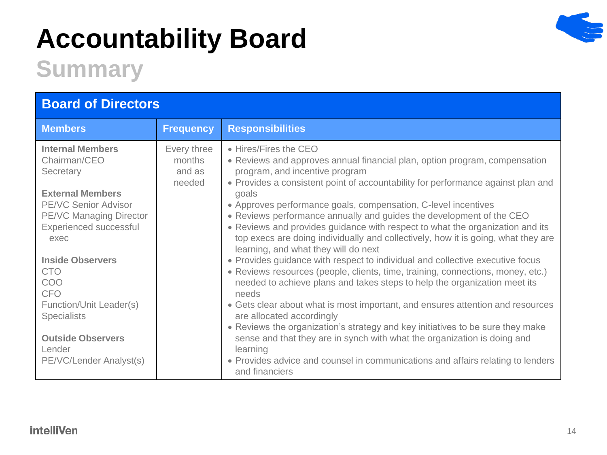# **Accountability Board**



### **Summary**

| <b>Board of Directors</b>                                                                                                                                                          |                                           |                                                                                                                                                                                                                                                                                                                                                                                                                                                                                                                                                                                                                                                                                                                                                                                                                                                                                                                                                                                                                                                                                                                                                                                                                                                    |
|------------------------------------------------------------------------------------------------------------------------------------------------------------------------------------|-------------------------------------------|----------------------------------------------------------------------------------------------------------------------------------------------------------------------------------------------------------------------------------------------------------------------------------------------------------------------------------------------------------------------------------------------------------------------------------------------------------------------------------------------------------------------------------------------------------------------------------------------------------------------------------------------------------------------------------------------------------------------------------------------------------------------------------------------------------------------------------------------------------------------------------------------------------------------------------------------------------------------------------------------------------------------------------------------------------------------------------------------------------------------------------------------------------------------------------------------------------------------------------------------------|
| <b>Members</b>                                                                                                                                                                     | <b>Frequency</b>                          | <b>Responsibilities</b>                                                                                                                                                                                                                                                                                                                                                                                                                                                                                                                                                                                                                                                                                                                                                                                                                                                                                                                                                                                                                                                                                                                                                                                                                            |
| <b>Internal Members</b><br>Chairman/CEO<br>Secretary<br><b>External Members</b><br><b>PE/VC Senior Advisor</b><br><b>PE/VC Managing Director</b><br>Experienced successful<br>exec | Every three<br>months<br>and as<br>needed | • Hires/Fires the CEO<br>• Reviews and approves annual financial plan, option program, compensation<br>program, and incentive program<br>• Provides a consistent point of accountability for performance against plan and<br>goals<br>• Approves performance goals, compensation, C-level incentives<br>. Reviews performance annually and guides the development of the CEO<br>• Reviews and provides guidance with respect to what the organization and its<br>top execs are doing individually and collectively, how it is going, what they are<br>learning, and what they will do next<br>• Provides guidance with respect to individual and collective executive focus<br>• Reviews resources (people, clients, time, training, connections, money, etc.)<br>needed to achieve plans and takes steps to help the organization meet its<br>needs<br>• Gets clear about what is most important, and ensures attention and resources<br>are allocated accordingly<br>• Reviews the organization's strategy and key initiatives to be sure they make<br>sense and that they are in synch with what the organization is doing and<br>learning<br>• Provides advice and counsel in communications and affairs relating to lenders<br>and financiers |
| <b>Inside Observers</b><br><b>CTO</b><br>COO<br><b>CFO</b><br>Function/Unit Leader(s)<br><b>Specialists</b><br><b>Outside Observers</b><br>Lender<br>PE/VC/Lender Analyst(s)       |                                           |                                                                                                                                                                                                                                                                                                                                                                                                                                                                                                                                                                                                                                                                                                                                                                                                                                                                                                                                                                                                                                                                                                                                                                                                                                                    |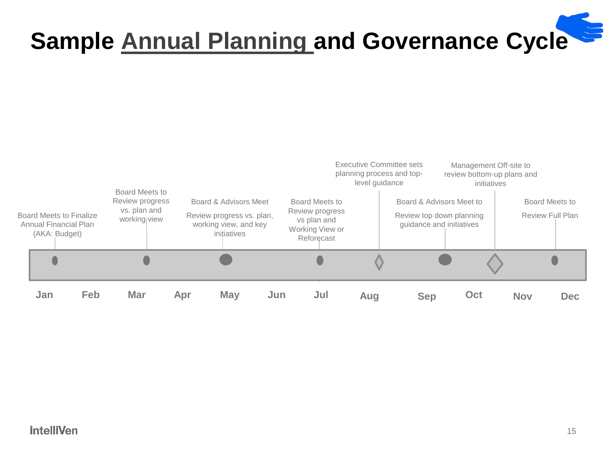# **Sample [Annual Planning](http://www.intelliven.com/how-to-run-a-great-annual-leadership-team-strategy-offsite-meeting/) and Governance Cycle**



#### **intelliVen**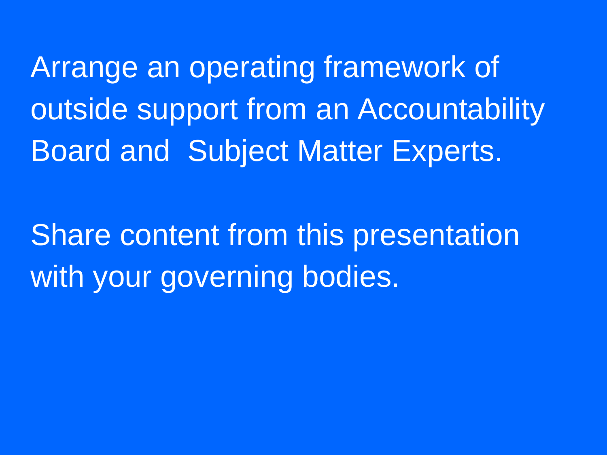Arrange an operating framework of outside support from an Accountability Board and Subject Matter Experts.

Share content from this presentation with your governing bodies.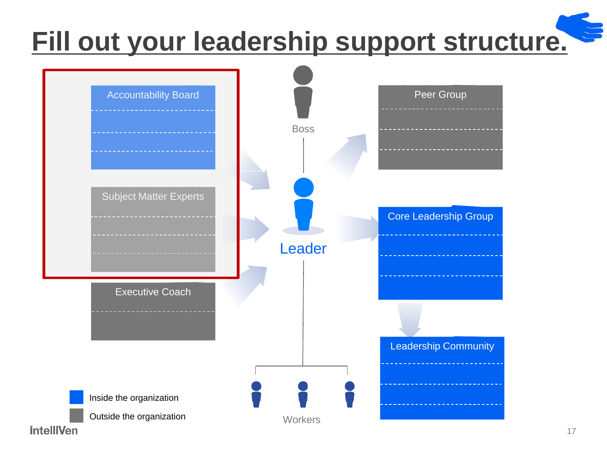# **[Fill out your leadership support structure.](http://intelliven.com/templates/leadership-support-structure/)**



17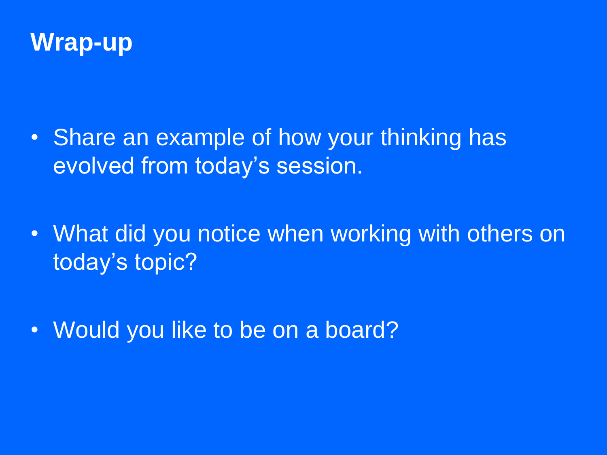

- Share an example of how your thinking has evolved from today's session.
- What did you notice when working with others on today's topic?
- Would you like to be on a board?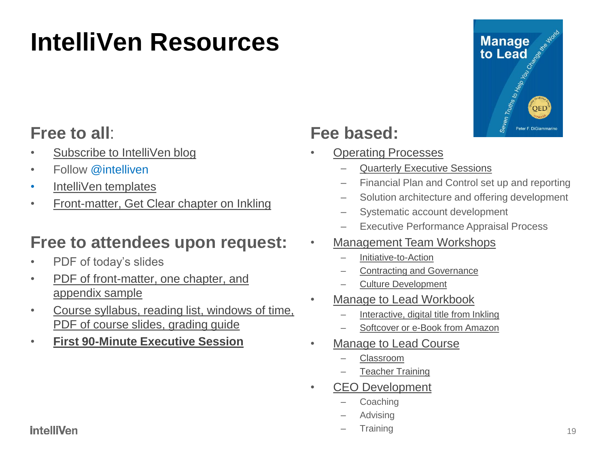## **IntelliVen Resources**

### **Free to all**:

- [Subscribe to IntelliVen blog](http://www.intelliven.com/subscribe/)
- Follow @intelliven
- [IntelliVen templates](http://www.intelliven.com/tools/)
- [Front-matter, Get Clear chapter on Inkling](https://www.inkling.com/store/book/manage-to-lead-peter-digiammarino-1st/)

### **Free to attendees upon request:**

- PDF of today's slides
- [PDF of front-matter, one chapter, and](mailto:peterd@intelliven.com)  [appendix sample](mailto:peterd@intelliven.com)
- [Course syllabus, reading list, windows of time,](mailto:peterd@intelliven.com)  [PDF of course slides, grading guide](mailto:peterd@intelliven.com)
- **[First 90-Minute Executive Session](http://www.intelliven.com/contact/#gf_1)**

### **Fee based:**

- [Operating Processes](http://www.intelliven.com/offerings/)
	- [Quarterly Executive Sessions](http://www.intelliven.com/services/executive-sessions/)
	- Financial Plan and Control set up and reporting
	- Solution architecture and offering development
	- Systematic account development
	- Executive Performance Appraisal Process

#### • [Management Team Workshops](http://www.intelliven.com/contact/#gf_1)

- Initiative-to-Action
- Contracting and Governance
- Culture Development
- **[Manage to Lead Workbook](https://www.inkling.com/store/book/manage-to-lead-peter-digiammarino-1st/)** 
	- [Interactive, digital title from Inkling](https://www.inkling.com/store/book/manage-to-lead-peter-digiammarino-1st/)
	- [Softcover or e-Book from Amazon](http://www.intelliven.com/managetolead/)
- [Manage to Lead Course](http://www.intelliven.com/contact/#gf_1)
	- Classroom
	- **Teacher Training**
- CEO Development
	- **Coaching**
	- **Advising**
	- **Training**